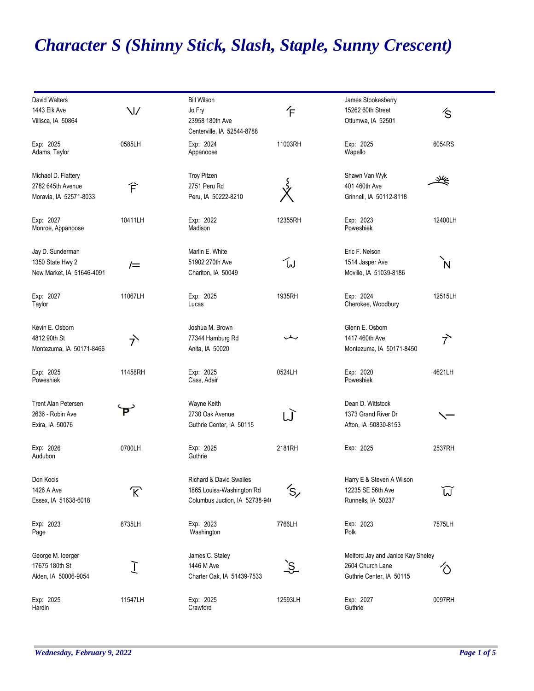## *Character S (Shinny Stick, Slash, Staple, Sunny Crescent)*

| David Walters              |                                                           | <b>Bill Wilson</b>                 |            | James Stookesberry                |                      |
|----------------------------|-----------------------------------------------------------|------------------------------------|------------|-----------------------------------|----------------------|
| 1443 Elk Ave               | $\vee$                                                    | Jo Fry                             | 乍          | 15262 60th Street                 | /S                   |
| Villisca, IA 50864         |                                                           | 23958 180th Ave                    |            | Ottumwa, IA 52501                 |                      |
|                            |                                                           |                                    |            |                                   |                      |
|                            |                                                           | Centerville, IA 52544-8788         |            |                                   |                      |
| Exp: 2025                  | 0585LH                                                    | Exp: 2024                          | 11003RH    | Exp: 2025                         | 6054RS               |
| Adams, Taylor              |                                                           | Appanoose                          |            | Wapello                           |                      |
|                            |                                                           |                                    |            |                                   |                      |
| Michael D. Flattery        |                                                           | Troy Pitzen                        |            | Shawn Van Wyk                     |                      |
|                            |                                                           |                                    |            |                                   | q                    |
| 2782 645th Avenue          | 仺                                                         | 2751 Peru Rd                       |            | 401 460th Ave                     |                      |
| Moravia, IA 52571-8033     |                                                           | Peru, IA 50222-8210                |            | Grinnell, IA 50112-8118           |                      |
|                            |                                                           |                                    |            |                                   |                      |
| Exp: 2027                  | 10411LH                                                   | Exp: 2022                          | 12355RH    | Exp: 2023                         | 12400LH              |
| Monroe, Appanoose          |                                                           | Madison                            |            | Poweshiek                         |                      |
|                            |                                                           |                                    |            |                                   |                      |
|                            |                                                           |                                    |            |                                   |                      |
| Jay D. Sunderman           |                                                           | Marlin E. White                    |            | Eric F. Nelson                    |                      |
| 1350 State Hwy 2           | $/ =$                                                     | 51902 270th Ave                    | ัพ         | 1514 Jasper Ave                   | Ń                    |
| New Market, IA 51646-4091  |                                                           | Chariton, IA 50049                 |            | Moville, IA 51039-8186            |                      |
|                            |                                                           |                                    |            |                                   |                      |
|                            |                                                           |                                    |            |                                   |                      |
| Exp: 2027                  | 11067LH                                                   | Exp: 2025                          | 1935RH     | Exp: 2024                         | 12515LH              |
| Taylor                     |                                                           | Lucas                              |            | Cherokee, Woodbury                |                      |
|                            |                                                           |                                    |            |                                   |                      |
| Kevin E. Osborn            |                                                           | Joshua M. Brown                    |            | Glenn E. Osborn                   |                      |
| 4812 90th St               | <sup>→</sup>                                              | 77344 Hamburg Rd                   | ∽          | 1417 460th Ave                    | $\overrightarrow{7}$ |
| Montezuma, IA 50171-8466   |                                                           | Anita, IA 50020                    |            | Montezuma, IA 50171-8450          |                      |
|                            |                                                           |                                    |            |                                   |                      |
|                            |                                                           |                                    |            |                                   |                      |
| Exp: 2025                  | 11458RH                                                   | Exp: 2025                          | 0524LH     | Exp: 2020                         | 4621LH               |
| Poweshiek                  |                                                           | Cass, Adair                        |            | Poweshiek                         |                      |
|                            |                                                           |                                    |            |                                   |                      |
| <b>Trent Alan Petersen</b> |                                                           | Wayne Keith                        |            | Dean D. Wittstock                 |                      |
| 2636 - Robin Ave           | P                                                         | 2730 Oak Avenue                    | W          | 1373 Grand River Dr               | $\checkmark$         |
| Exira, IA 50076            |                                                           | Guthrie Center, IA 50115           |            | Afton, IA 50830-8153              |                      |
|                            |                                                           |                                    |            |                                   |                      |
|                            |                                                           |                                    |            |                                   |                      |
| Exp: 2026                  | 0700LH                                                    | Exp: 2025                          | 2181RH     | Exp: 2025                         | 2537RH               |
| Audubon                    |                                                           | Guthrie                            |            |                                   |                      |
|                            |                                                           |                                    |            |                                   |                      |
| Don Kocis                  |                                                           | <b>Richard &amp; David Swailes</b> |            | Harry E & Steven A Wilson         |                      |
| 1426 A Ave                 |                                                           | 1865 Louisa-Washington Rd          | ′S,        | 12235 SE 56th Ave                 |                      |
|                            | $\mathcal{R}% _{M_{1},M_{2}}^{\alpha,\beta}(\varepsilon)$ |                                    |            |                                   | ប៊                   |
| Essex, IA 51638-6018       |                                                           | Columbus Juction, IA 52738-94(     |            | Runnells, IA 50237                |                      |
|                            |                                                           |                                    |            |                                   |                      |
| Exp: 2023                  | 8735LH                                                    | Exp: 2023                          | 7766LH     | Exp: 2023                         | 7575LH               |
| Page                       |                                                           | Washington                         |            | Polk                              |                      |
|                            |                                                           |                                    |            |                                   |                      |
| George M. loerger          |                                                           | James C. Staley                    |            | Melford Jay and Janice Kay Sheley |                      |
| 17675 180th St             |                                                           | 1446 M Ave                         |            | 2604 Church Lane                  |                      |
|                            | Ţ                                                         |                                    | <u>`Ş.</u> |                                   | $\Diamond$           |
| Alden, IA 50006-9054       |                                                           | Charter Oak, IA 51439-7533         |            | Guthrie Center, IA 50115          |                      |
|                            |                                                           |                                    |            |                                   |                      |
| Exp: 2025                  | 11547LH                                                   | Exp: 2025                          | 12593LH    | Exp: 2027                         | 0097RH               |
| Hardin                     |                                                           | Crawford                           |            | Guthrie                           |                      |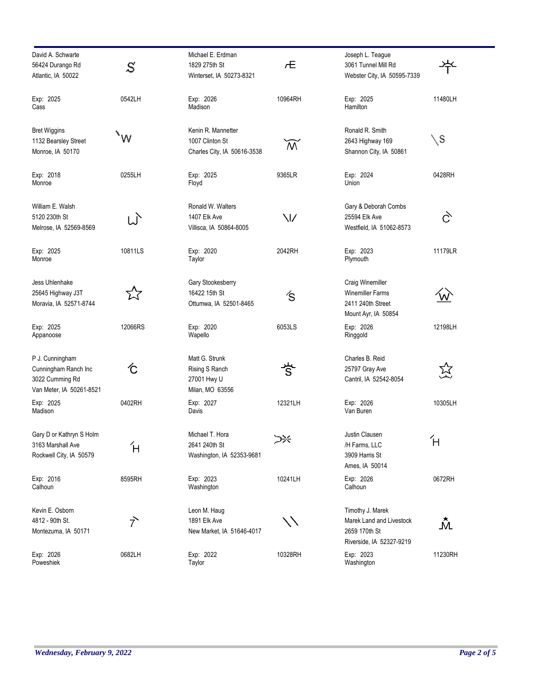| David A. Schwarte<br>56424 Durango Rd<br>Atlantic, IA 50022                            | S                    | Michael E. Erdman<br>1829 275th St<br>Winterset, IA 50273-8321       | Æ                         | Joseph L. Teague<br>3061 Tunnel Mill Rd<br>Webster City, IA 50595-7339                    |               |
|----------------------------------------------------------------------------------------|----------------------|----------------------------------------------------------------------|---------------------------|-------------------------------------------------------------------------------------------|---------------|
| Exp: 2025<br>Cass                                                                      | 0542LH               | Exp: 2026<br>Madison                                                 | 10964RH                   | Exp: 2025<br>Hamilton                                                                     | 11480LH       |
| <b>Bret Wiggins</b><br>1132 Bearsley Street<br>Monroe, IA 50170                        | `w                   | Kenin R. Mannetter<br>1007 Clinton St<br>Charles City, IA 50616-3538 | $\widetilde{\mathcal{M}}$ | Ronald R. Smith<br>2643 Highway 169<br>Shannon City, IA 50861                             | $\setminus$ S |
| Exp: 2018<br>Monroe                                                                    | 0255LH               | Exp: 2025<br>Floyd                                                   | 9365LR                    | Exp: 2024<br>Union                                                                        | 0428RH        |
| William E. Walsh<br>5120 230th St<br>Melrose, IA 52569-8569                            | W                    | Ronald W. Walters<br>1407 Elk Ave<br>Villisca, IA 50864-8005         | $\vee$                    | Gary & Deborah Combs<br>25594 Elk Ave<br>Westfield, IA 51062-8573                         | Č,            |
| Exp: 2025<br>Monroe                                                                    | 10811LS              | Exp: 2020<br>Taylor                                                  | 2042RH                    | Exp: 2023<br>Plymouth                                                                     | 11179LR       |
| Jess Uhlenhake<br>25645 Highway J3T<br>Moravia, IA 52571-8744                          | 又                    | Gary Stookesberry<br>16422 15th St<br>Ottumwa, IA 52501-8465         | くりょう ふくしゃ しょうかい しゃくしゃ     | Craig Winemiller<br><b>Winemiller Farms</b><br>2411 240th Street<br>Mount Ayr, IA 50854   |               |
| Exp: 2025<br>Appanoose                                                                 | 12066RS              | Exp: 2020<br>Wapello                                                 | 6053LS                    | Exp: 2026<br>Ringgold                                                                     | 12198LH       |
| P J. Cunningham<br>Cunningham Ranch Inc<br>3022 Cumming Rd<br>Van Meter, IA 50261-8521 | て                    | Matt G. Strunk<br>Rising S Ranch<br>27001 Hwy U<br>Milan, MO 63556   | 兮                         | Charles B. Reid<br>25797 Gray Ave<br>Cantril, IA 52542-8054                               | 妥             |
| Exp: 2025<br>Madison                                                                   | 0402RH               | Exp: 2027<br>Davis                                                   | 12321LH                   | Exp: 2026<br>Van Buren                                                                    | 10305LH       |
| Gary D or Kathryn S Holm<br>3163 Marshall Ave<br>Rockwell City, IA 50579               | Ή                    | Michael T. Hora<br>2641 240th St<br>Washington, IA 52353-9681        | ⋙                         | Justin Clausen<br>/H Farms, LLC<br>3909 Harris St<br>Ames, IA 50014                       | Ή             |
| Exp: 2016<br>Calhoun                                                                   | 8595RH               | Exp: 2023<br>Washington                                              | 10241LH                   | Exp: 2026<br>Calhoun                                                                      | 0672RH        |
| Kevin E. Osborn<br>4812 - 90th St.<br>Montezuma, IA 50171                              | $\overrightarrow{7}$ | Leon M. Haug<br>1891 Elk Ave<br>New Market, IA 51646-4017            |                           | Timothy J. Marek<br>Marek Land and Livestock<br>2659 170th St<br>Riverside, IA 52327-9219 | Ŵ             |
| Exp: 2026<br>Poweshiek                                                                 | 0682LH               | Exp: 2022<br>Taylor                                                  | 10328RH                   | Exp: 2023<br>Washington                                                                   | 11230RH       |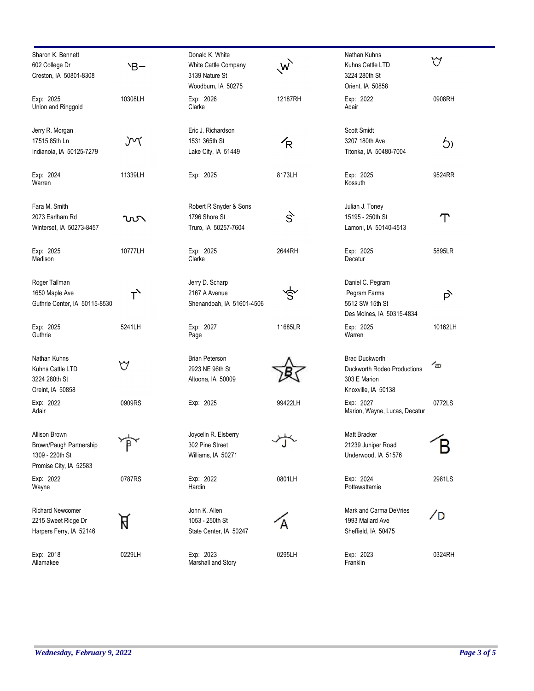| Sharon K. Bennett<br>602 College Dr<br>Creston, IA 50801-8308                         | `В-            | Donald K. White<br>White Cattle Company<br>3139 Nature St<br>Woodburn, IA 50275 | W       | Nathan Kuhns<br>Kuhns Cattle LTD<br>3224 280th St<br>Orient, IA 50858                       | $\forall$ |
|---------------------------------------------------------------------------------------|----------------|---------------------------------------------------------------------------------|---------|---------------------------------------------------------------------------------------------|-----------|
| Exp: 2025<br>Union and Ringgold                                                       | 10308LH        | Exp: 2026<br>Clarke                                                             | 12187RH | Exp: 2022<br>Adair                                                                          | 0908RH    |
| Jerry R. Morgan<br>17515 85th Ln<br>Indianola, IA 50125-7279                          | ĴΜ             | Eric J. Richardson<br>1531 365th St<br>Lake City, IA 51449                      | R       | <b>Scott Smidt</b><br>3207 180th Ave<br>Titonka, IA 50480-7004                              | $\zeta$   |
| Exp: 2024<br>Warren                                                                   | 11339LH        | Exp: 2025                                                                       | 8173LH  | Exp: 2025<br>Kossuth                                                                        | 9524RR    |
| Fara M. Smith<br>2073 Earlham Rd<br>Winterset, IA 50273-8457                          | ൜              | Robert R Snyder & Sons<br>1796 Shore St<br>Truro, IA 50257-7604                 | s,      | Julian J. Toney<br>15195 - 250th St<br>Lamoni, IA 50140-4513                                | ፐ         |
| Exp: 2025<br>Madison                                                                  | 10777LH        | Exp: 2025<br>Clarke                                                             | 2644RH  | Exp: 2025<br>Decatur                                                                        | 5895LR    |
| Roger Tallman<br>1650 Maple Ave<br>Guthrie Center, IA 50115-8530                      | т <sup>у</sup> | Jerry D. Scharp<br>2167 A Avenue<br>Shenandoah, IA 51601-4506                   | Ŝ       | Daniel C. Pegram<br>Pegram Farms<br>5512 SW 15th St<br>Des Moines, IA 50315-4834            | b,        |
| Exp: 2025<br>Guthrie                                                                  | 5241LH         | Exp: 2027<br>Page                                                               | 11685LR | Exp: 2025<br>Warren                                                                         | 10162LH   |
| Nathan Kuhns<br>Kuhns Cattle LTD<br>3224 280th St<br>Oreint, IA 50858                 | V              | <b>Brian Peterson</b><br>2923 NE 96th St<br>Altoona, IA 50009                   |         | <b>Brad Duckworth</b><br>Duckworth Rodeo Productions<br>303 E Marion<br>Knoxville, IA 50138 | ம         |
| Exp: 2022<br>Adair                                                                    | 0909RS         | Exp: 2025                                                                       | 99422LH | Exp: 2027<br>Marion, Wayne, Lucas, Decatur                                                  | 0772LS    |
| Allison Brown<br>Brown/Paugh Partnership<br>1309 - 220th St<br>Promise City, IA 52583 |                | Joycelin R. Elsberry<br>302 Pine Street<br>Williams, IA 50271                   |         | Matt Bracker<br>21239 Juniper Road<br>Underwood, IA 51576                                   |           |
| Exp: 2022<br>Wayne                                                                    | 0787RS         | Exp: 2022<br>Hardin                                                             | 0801LH  | Exp: 2024<br>Pottawattamie                                                                  | 2981LS    |
| <b>Richard Newcomer</b><br>2215 Sweet Ridge Dr<br>Harpers Ferry, IA 52146             | R              | John K. Allen<br>1053 - 250th St<br>State Center, IA 50247                      |         | Mark and Carma DeVries<br>1993 Mallard Ave<br>Sheffield, IA 50475                           | /D        |
| Exp: 2018<br>Allamakee                                                                | 0229LH         | Exp: 2023<br>Marshall and Story                                                 | 0295LH  | Exp: 2023<br>Franklin                                                                       | 0324RH    |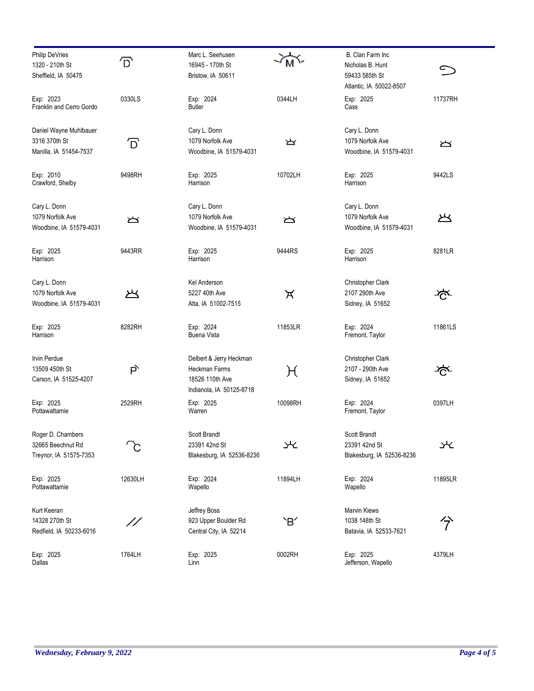| <b>Philip DeVries</b><br>1320 - 210th St<br>Sheffield, IA 50475   | ք       | Marc L. Seehusen<br>16945 - 170th St<br>Bristow, IA 50611                               |         | B. Clan Farm Inc<br>Nicholas B. Hunt<br>59433 585th St      | $\subset$     |
|-------------------------------------------------------------------|---------|-----------------------------------------------------------------------------------------|---------|-------------------------------------------------------------|---------------|
| Exp: 2023<br>Franklin and Cerro Gordo                             | 0330LS  | Exp: 2024<br><b>Butler</b>                                                              | 0344LH  | Atlantic, IA 50022-8507<br>Exp: 2025<br>Cass                | 11737RH       |
| Daniel Wayne Muhlbauer<br>3316 370th St<br>Manilla, IA 51454-7537 | ้ D     | Cary L. Donn<br>1079 Norfolk Ave<br>Woodbine, IA 51579-4031                             | ど       | Cary L. Donn<br>1079 Norfolk Ave<br>Woodbine, IA 51579-4031 | $\sum$        |
| Exp: 2010<br>Crawford, Shelby                                     | 9498RH  | Exp: 2025<br>Harrison                                                                   | 10702LH | Exp: 2025<br>Harrison                                       | 9442LS        |
| Cary L. Donn<br>1079 Norfolk Ave<br>Woodbine, IA 51579-4031       | $\sum$  | Cary L. Donn<br>1079 Norfolk Ave<br>Woodbine, IA 51579-4031                             | ᆇ       | Cary L. Donn<br>1079 Norfolk Ave<br>Woodbine, IA 51579-4031 | ど             |
| Exp: 2025<br>Harrison                                             | 9443RR  | Exp: 2025<br>Harrison                                                                   | 9444RS  | Exp: 2025<br>Harrison                                       | 8281LR        |
| Cary L. Donn<br>1079 Norfolk Ave<br>Woodbine, IA 51579-4031       | ど       | Kel Anderson<br>5227 40th Ave<br>Alta, IA 51002-7515                                    | ਕ       | Christopher Clark<br>2107 290th Ave<br>Sidney, IA 51652     | <u>≯्</u> दूर |
| Exp: 2025<br>Harrison                                             | 8282RH  | Exp: 2024<br><b>Buena Vista</b>                                                         | 11853LR | Exp: 2024<br>Fremont, Taylor                                | 11861LS       |
| Irvin Perdue<br>13509 450th St<br>Carson, IA 51525-4207           | Þ       | Delbert & Jerry Heckman<br>Heckman Farms<br>18526 110th Ave<br>Indianola, IA 50125-8718 | H       | Christopher Clark<br>2107 - 290th Ave<br>Sidney, IA 51652   | ∛ਨ੍ਹਾ         |
| Exp: 2025<br>Pottawattamie                                        | 2529RH  | Exp: 2025<br>Warren                                                                     | 10098RH | Exp: 2024<br>Fremont, Taylor                                | 0397LH        |
| Roger D. Chambers<br>32665 Beechnut Rd<br>Treynor, IA 51575-7353  |         | Scott Brandt<br>23391 42nd St<br>Blakesburg, IA 52536-8236                              | ₩       | Scott Brandt<br>23391 42nd St<br>Blakesburg, IA 52536-8236  | 氺             |
| Exp: 2025<br>Pottawattamie                                        | 12630LH | Exp: 2024<br>Wapello                                                                    | 11894LH | Exp: 2024<br>Wapello                                        | 11895LR       |
| Kurt Keeran<br>14328 270th St<br>Redfield, IA 50233-6016          | //      | Jeffrey Boss<br>923 Upper Boulder Rd<br>Central City, IA 52214                          | `B′     | Marvin Kiews<br>1038 148th St<br>Batavia, IA 52533-7621     | 分             |
| Exp: 2025<br>Dallas                                               | 1764LH  | Exp: 2025<br>Linn                                                                       | 0002RH  | Exp: 2025<br>Jefferson, Wapello                             | 4379LH        |